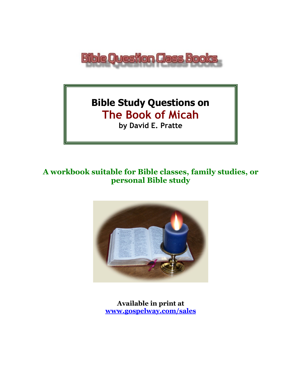

# **Bible Study Questions on The Book of Micah by David E. Pratte**

# **A workbook suitable for Bible classes, family studies, or personal Bible study**



**Available in print at [www.gospelway.com/sales](https://www.gospelway.com/sales)**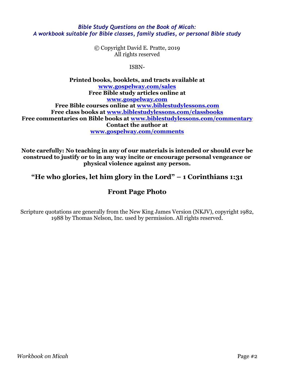### *Bible Study Questions on the Book of Micah: A workbook suitable for Bible classes, family studies, or personal Bible study*

© Copyright David E. Pratte, 2019 All rights reserved

ISBN-

**Printed books, booklets, and tracts available at [www.gospelway.com/sales](https://www.gospelway.com/sales) Free Bible study articles online at [www.gospelway.com](http://www.gospelway.com/) Free Bible courses online at [www.biblestudylessons.com](http://www.biblestudylessons.com/) Free class books at [www.biblestudylessons.com/classbooks](http://www.biblestudylessons.com/classbooks) Free commentaries on Bible books at [www.biblestudylessons.com/commentary](https://www.biblestudylessons.com/commentary) Contact the author at [www.gospelway.com/comments](http://www.gospelway.com/comments)**

**Note carefully: No teaching in any of our materials is intended or should ever be construed to justify or to in any way incite or encourage personal vengeance or physical violence against any person.**

**"He who glories, let him glory in the Lord" – 1 Corinthians 1:31**

### **Front Page Photo**

Scripture quotations are generally from the New King James Version (NKJV), copyright 1982, 1988 by Thomas Nelson, Inc. used by permission. All rights reserved.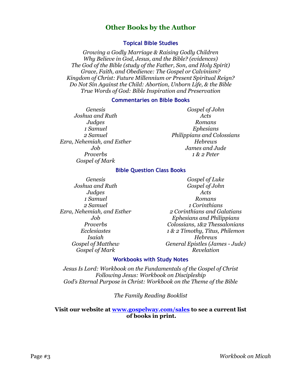### **Other Books by the Author**

### **Topical Bible Studies**

*Growing a Godly Marriage & Raising Godly Children Why Believe in God, Jesus, and the Bible? (evidences) The God of the Bible (study of the Father, Son, and Holy Spirit) Grace, Faith, and Obedience: The Gospel or Calvinism? Kingdom of Christ: Future Millennium or Present Spiritual Reign? Do Not Sin Against the Child: Abortion, Unborn Life, & the Bible True Words of God: Bible Inspiration and Preservation*

#### **Commentaries on Bible Books**

*Genesis Joshua and Ruth Judges 1 Samuel 2 Samuel Ezra, Nehemiah, and Esther Job Proverbs Gospel of Mark* 

*Gospel of John Acts Romans Ephesians Philippians and Colossians Hebrews James and Jude 1 & 2 Peter*

#### **Bible Question Class Books**

*Genesis Joshua and Ruth Judges 1 Samuel 2 Samuel Ezra, Nehemiah, and Esther Job Proverbs Ecclesiastes Isaiah Gospel of Matthew Gospel of Mark*

*Gospel of Luke Gospel of John Acts Romans 1 Corinthians 2 Corinthians and Galatians Ephesians and Philippians Colossians, 1&2 Thessalonians 1 & 2 Timothy, Titus, Philemon Hebrews General Epistles (James - Jude) Revelation*

#### **Workbooks with Study Notes**

*Jesus Is Lord: Workbook on the Fundamentals of the Gospel of Christ Following Jesus: Workbook on Discipleship God's Eternal Purpose in Christ: Workbook on the Theme of the Bible*

*The Family Reading Booklist*

### **Visit our website at [www.gospelway.com/sales](https://www.gospelway.com/sales) to see a current list of books in print.**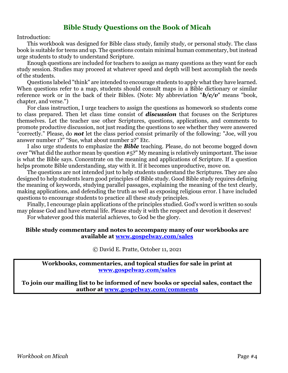### **Bible Study Questions on the Book of Micah**

Introduction:

This workbook was designed for Bible class study, family study, or personal study. The class book is suitable for teens and up. The questions contain minimal human commentary, but instead urge students to study to understand Scripture.

Enough questions are included for teachers to assign as many questions as they want for each study session. Studies may proceed at whatever speed and depth will best accomplish the needs of the students.

Questions labeled "think" are intended to encourage students to apply what they have learned. When questions refer to a map, students should consult maps in a Bible dictionary or similar reference work or in the back of their Bibles. (Note: My abbreviation "*b/c/v*" means "book, chapter, and verse.")

For class instruction, I urge teachers to assign the questions as homework so students come to class prepared. Then let class time consist of *discussion* that focuses on the Scriptures themselves. Let the teacher use other Scriptures, questions, applications, and comments to promote productive discussion, not just reading the questions to see whether they were answered "correctly." Please, do *not* let the class period consist primarily of the following: "Joe, will you answer number 1?" "Sue, what about number 2?" Etc.

I also urge students to emphasize the *Bible* teaching. Please, do not become bogged down over "What did the author mean by question #5?" My meaning is relatively unimportant. The issue is what the Bible says. Concentrate on the meaning and applications of Scripture. If a question helps promote Bible understanding, stay with it. If it becomes unproductive, move on.

The questions are not intended just to help students understand the Scriptures. They are also designed to help students learn good principles of Bible study. Good Bible study requires defining the meaning of keywords, studying parallel passages, explaining the meaning of the text clearly, making applications, and defending the truth as well as exposing religious error. I have included questions to encourage students to practice all these study principles.

Finally, I encourage plain applications of the principles studied. God's word is written so souls may please God and have eternal life. Please study it with the respect and devotion it deserves!

For whatever good this material achieves, to God be the glory.

### **Bible study commentary and notes to accompany many of our workbooks are available at [www.gospelway.com/sales](https://www.gospelway.com/sales)**

© David E. Pratte, October 11, 2021

**Workbooks, commentaries, and topical studies for sale in print at [www.gospelway.com/sales](https://www.gospelway.com/sales)**

**To join our mailing list to be informed of new books or special sales, contact the author at [www.gospelway.com/comments](http://www.gospelway.com/comments)**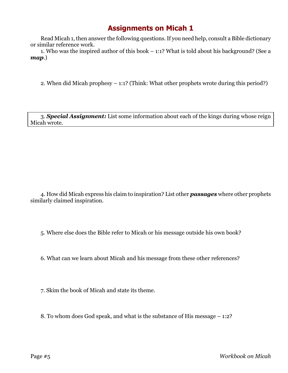Read Micah 1, then answer the following questions. If you need help, consult a Bible dictionary or similar reference work.

1. Who was the inspired author of this book – 1:1? What is told about his background? (See a *map*.)

2. When did Micah prophesy – 1:1? (Think: What other prophets wrote during this period?)

3. *Special Assignment:* List some information about each of the kings during whose reign Micah wrote.

4. How did Micah express his claim to inspiration? List other *passages* where other prophets similarly claimed inspiration.

5. Where else does the Bible refer to Micah or his message outside his own book?

6. What can we learn about Micah and his message from these other references?

7. Skim the book of Micah and state its theme.

8. To whom does God speak, and what is the substance of His message – 1:2?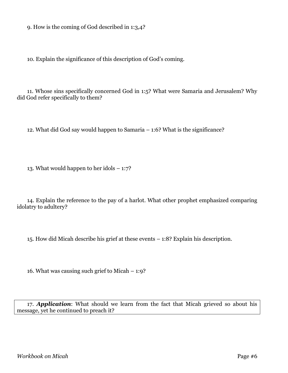9. How is the coming of God described in 1:3,4?

10. Explain the significance of this description of God's coming.

11. Whose sins specifically concerned God in 1:5? What were Samaria and Jerusalem? Why did God refer specifically to them?

12. What did God say would happen to Samaria – 1:6? What is the significance?

13. What would happen to her idols  $-1:7$ ?

14. Explain the reference to the pay of a harlot. What other prophet emphasized comparing idolatry to adultery?

15. How did Micah describe his grief at these events – 1:8? Explain his description.

16. What was causing such grief to Micah – 1:9?

17. *Application*: What should we learn from the fact that Micah grieved so about his message, yet he continued to preach it?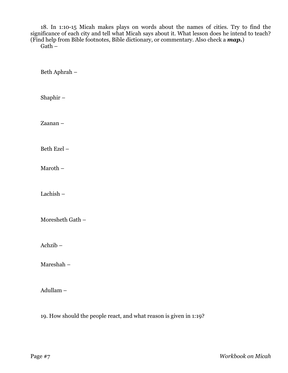18. In 1:10-15 Micah makes plays on words about the names of cities. Try to find the significance of each city and tell what Micah says about it. What lesson does he intend to teach? (Find help from Bible footnotes, Bible dictionary, or commentary. Also check a *map.*)  $Gath -$ 

Beth Aphrah –

Shaphir –

Zaanan –

Beth Ezel –

Maroth –

Lachish –

Moresheth Gath –

Achzib –

Mareshah –

Adullam –

19. How should the people react, and what reason is given in 1:19?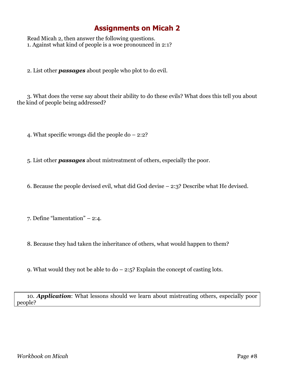Read Micah 2, then answer the following questions. 1. Against what kind of people is a woe pronounced in 2:1?

2. List other *passages* about people who plot to do evil.

3. What does the verse say about their ability to do these evils? What does this tell you about the kind of people being addressed?

4. What specific wrongs did the people do – 2:2?

5. List other *passages* about mistreatment of others, especially the poor.

6. Because the people devised evil, what did God devise – 2:3? Describe what He devised.

7. Define "lamentation" – 2:4.

8. Because they had taken the inheritance of others, what would happen to them?

9. What would they not be able to  $d_0 - 2:5$ ? Explain the concept of casting lots.

10. *Application*: What lessons should we learn about mistreating others, especially poor people?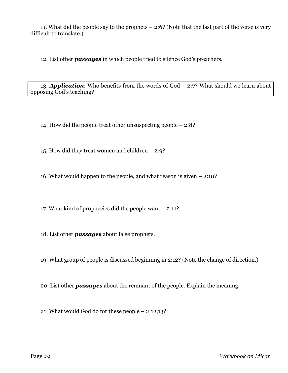11. What did the people say to the prophets – 2:6? (Note that the last part of the verse is very difficult to translate.)

12. List other *passages* in which people tried to silence God's preachers.

13. *Application*: Who benefits from the words of God – 2:7? What should we learn about opposing God's teaching?

14. How did the people treat other unsuspecting people – 2:8?

15. How did they treat women and children – 2:9?

16. What would happen to the people, and what reason is given – 2:10?

17. What kind of prophecies did the people want – 2:11?

18. List other *passages* about false prophets.

19. What group of people is discussed beginning in 2:12? (Note the change of direction.)

20. List other *passages* about the remnant of the people. Explain the meaning.

21. What would God do for these people – 2:12,13?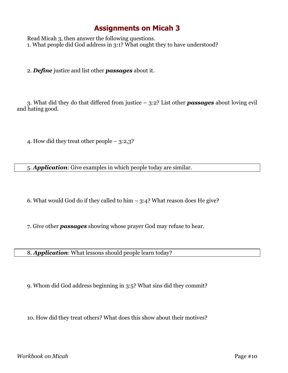Read Micah 3, then answer the following questions. 1. What people did God address in 3:1? What ought they to have understood?

2. *Define* justice and list other *passages* about it.

3. What did they do that differed from justice – 3:2? List other *passages* about loving evil and hating good.

4. How did they treat other people – 3:2,3?

5. *Application*: Give examples in which people today are similar.

6. What would God do if they called to him – 3:4? What reason does He give?

7. Give other *passages* showing whose prayer God may refuse to hear.

8. *Application*: What lessons should people learn today?

9. Whom did God address beginning in 3:5? What sins did they commit?

10. How did they treat others? What does this show about their motives?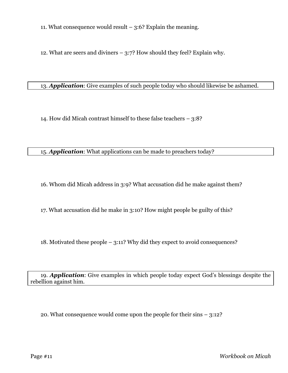11. What consequence would result  $-$  3:6? Explain the meaning.

12. What are seers and diviners – 3:7? How should they feel? Explain why.

13. *Application*: Give examples of such people today who should likewise be ashamed.

14. How did Micah contrast himself to these false teachers – 3:8?

15. *Application*: What applications can be made to preachers today?

16. Whom did Micah address in 3:9? What accusation did he make against them?

17. What accusation did he make in 3:10? How might people be guilty of this?

18. Motivated these people – 3:11? Why did they expect to avoid consequences?

19. *Application*: Give examples in which people today expect God's blessings despite the rebellion against him.

20. What consequence would come upon the people for their sins – 3:12?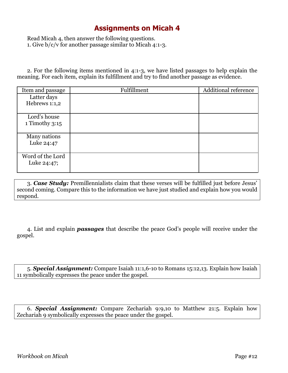Read Micah 4, then answer the following questions. 1. Give b/c/v for another passage similar to Micah 4:1-3.

2. For the following items mentioned in 4:1-3, we have listed passages to help explain the meaning. For each item, explain its fulfillment and try to find another passage as evidence.

| Item and passage | Fulfillment | <b>Additional reference</b> |
|------------------|-------------|-----------------------------|
| Latter days      |             |                             |
| Hebrews 1:1,2    |             |                             |
|                  |             |                             |
| Lord's house     |             |                             |
| 1 Timothy 3:15   |             |                             |
|                  |             |                             |
| Many nations     |             |                             |
| Luke 24:47       |             |                             |
|                  |             |                             |
| Word of the Lord |             |                             |
| Luke 24:47;      |             |                             |
|                  |             |                             |

3. *Case Study:* Premillennialists claim that these verses will be fulfilled just before Jesus' second coming. Compare this to the information we have just studied and explain how you would respond.

4. List and explain *passages* that describe the peace God's people will receive under the gospel.

5. *Special Assignment:* Compare Isaiah 11:1,6-10 to Romans 15:12,13. Explain how Isaiah 11 symbolically expresses the peace under the gospel.

6. *Special Assignment:* Compare Zechariah 9:9,10 to Matthew 21:5. Explain how Zechariah 9 symbolically expresses the peace under the gospel.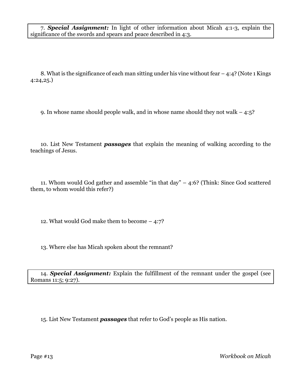7. *Special Assignment:* In light of other information about Micah 4:1-3, explain the significance of the swords and spears and peace described in 4:3.

8. What is the significance of each man sitting under his vine without fear  $-4:4$ ? (Note 1 Kings 4:24,25.)

9. In whose name should people walk, and in whose name should they not walk – 4:5?

10. List New Testament *passages* that explain the meaning of walking according to the teachings of Jesus.

11. Whom would God gather and assemble "in that day" – 4:6? (Think: Since God scattered them, to whom would this refer?)

12. What would God make them to become – 4:7?

13. Where else has Micah spoken about the remnant?

14. *Special Assignment:* Explain the fulfillment of the remnant under the gospel (see Romans 11:5; 9:27).

15. List New Testament *passages* that refer to God's people as His nation.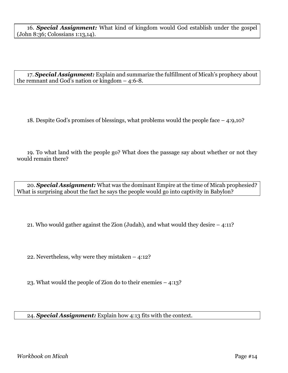16. *Special Assignment:* What kind of kingdom would God establish under the gospel (John 8:36; Colossians 1:13,14).

17. *Special Assignment:* Explain and summarize the fulfillment of Micah's prophecy about the remnant and God's nation or kingdom  $-$  4:6-8.

18. Despite God's promises of blessings, what problems would the people face – 4:9,10?

19. To what land with the people go? What does the passage say about whether or not they would remain there?

20. *Special Assignment:* What was the dominant Empire at the time of Micah prophesied? What is surprising about the fact he says the people would go into captivity in Babylon?

21. Who would gather against the Zion (Judah), and what would they desire – 4:11?

22. Nevertheless, why were they mistaken – 4:12?

23. What would the people of Zion do to their enemies – 4:13?

24. *Special Assignment:* Explain how 4:13 fits with the context.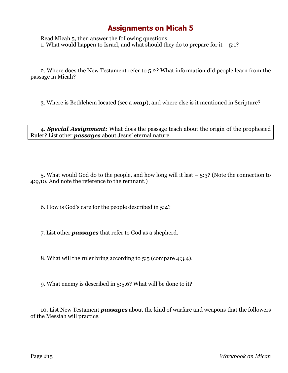Read Micah 5, then answer the following questions. 1. What would happen to Israel, and what should they do to prepare for  $it - 5:1$ ?

2. Where does the New Testament refer to 5:2? What information did people learn from the passage in Micah?

3. Where is Bethlehem located (see a *map*), and where else is it mentioned in Scripture?

4. *Special Assignment:* What does the passage teach about the origin of the prophesied Ruler? List other *passages* about Jesus' eternal nature.

5. What would God do to the people, and how long will it last – 5:3? (Note the connection to 4:9,10. And note the reference to the remnant.)

6. How is God's care for the people described in 5:4?

7. List other *passages* that refer to God as a shepherd.

8. What will the ruler bring according to 5:5 (compare 4:3,4).

9. What enemy is described in 5:5,6? What will be done to it?

10. List New Testament *passages* about the kind of warfare and weapons that the followers of the Messiah will practice.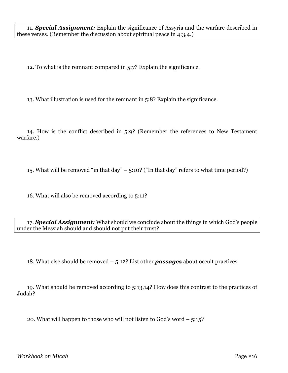11. *Special Assignment:* Explain the significance of Assyria and the warfare described in these verses. (Remember the discussion about spiritual peace in 4:3,4.)

12. To what is the remnant compared in 5:7? Explain the significance.

13. What illustration is used for the remnant in 5:8? Explain the significance.

14. How is the conflict described in 5:9? (Remember the references to New Testament warfare.)

15. What will be removed "in that day" – 5:10? ("In that day" refers to what time period?)

16. What will also be removed according to 5:11?

17. *Special Assignment:* What should we conclude about the things in which God's people under the Messiah should and should not put their trust?

18. What else should be removed – 5:12? List other *passages* about occult practices.

19. What should be removed according to 5:13,14? How does this contrast to the practices of Judah?

20. What will happen to those who will not listen to God's word  $-5:15$ ?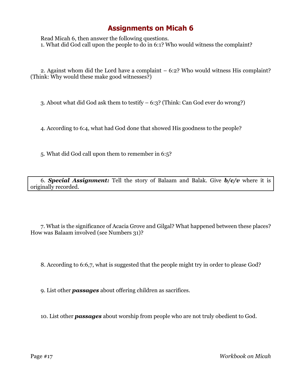Read Micah 6, then answer the following questions. 1. What did God call upon the people to do in 6:1? Who would witness the complaint?

2. Against whom did the Lord have a complaint – 6:2? Who would witness His complaint? (Think: Why would these make good witnesses?)

3. About what did God ask them to testify – 6:3? (Think: Can God ever do wrong?)

4. According to 6:4, what had God done that showed His goodness to the people?

5. What did God call upon them to remember in 6:5?

6. *Special Assignment:* Tell the story of Balaam and Balak. Give *b/c/v* where it is originally recorded.

7. What is the significance of Acacia Grove and Gilgal? What happened between these places? How was Balaam involved (see Numbers 31)?

8. According to 6:6,7, what is suggested that the people might try in order to please God?

9. List other *passages* about offering children as sacrifices.

10. List other *passages* about worship from people who are not truly obedient to God.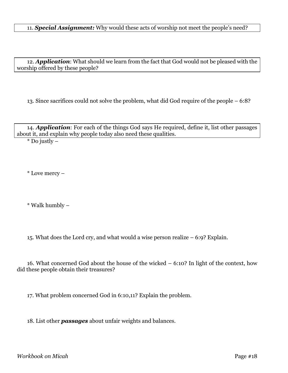### 11. *Special Assignment:* Why would these acts of worship not meet the people's need?

12. *Application*: What should we learn from the fact that God would not be pleased with the worship offered by these people?

13. Since sacrifices could not solve the problem, what did God require of the people – 6:8?

14. *Application*: For each of the things God says He required, define it, list other passages about it, and explain why people today also need these qualities.

 $*$  Do justly –

\* Love mercy –

\* Walk humbly –

15. What does the Lord cry, and what would a wise person realize – 6:9? Explain.

16. What concerned God about the house of the wicked – 6:10? In light of the context, how did these people obtain their treasures?

17. What problem concerned God in 6:10,11? Explain the problem.

18. List other *passages* about unfair weights and balances.

*Workbook on Micah* Page #18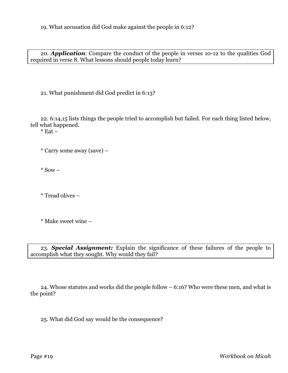20. *Application*: Compare the conduct of the people in verses 10-12 to the qualities God required in verse 8. What lessons should people today learn?

21. What punishment did God predict in 6:13?

22. 6:14,15 lists things the people tried to accomplish but failed. For each thing listed below, tell what happened.

 $*$  Eat  $-$ 

\* Carry some away (save) –

 $*$  Sow –

\* Tread olives –

\* Make sweet wine –

23. *Special Assignment:* Explain the significance of these failures of the people to accomplish what they sought. Why would they fail?

24. Whose statutes and works did the people follow – 6:16? Who were these men, and what is the point?

25. What did God say would be the consequence?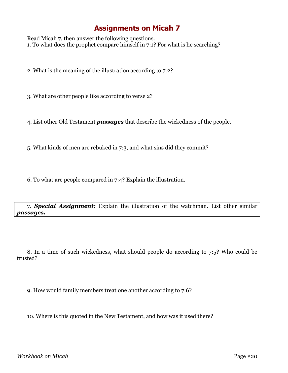Read Micah 7, then answer the following questions. 1. To what does the prophet compare himself in 7:1? For what is he searching?

2. What is the meaning of the illustration according to 7:2?

3. What are other people like according to verse 2?

4. List other Old Testament *passages* that describe the wickedness of the people.

5. What kinds of men are rebuked in 7:3, and what sins did they commit?

6. To what are people compared in 7:4? Explain the illustration.

7. *Special Assignment:* Explain the illustration of the watchman. List other similar *passages.*

8. In a time of such wickedness, what should people do according to 7:5? Who could be trusted?

9. How would family members treat one another according to 7:6?

10. Where is this quoted in the New Testament, and how was it used there?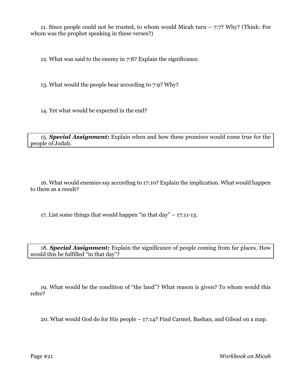11. Since people could not be trusted, to whom would Micah turn  $-7:7$ ? Why? (Think: For whom was the prophet speaking in these verses?)

12. What was said to the enemy in 7:8? Explain the significance.

13. What would the people bear according to 7:9? Why?

14. Yet what would be expected in the end?

15. *Special Assignment:* Explain when and how these promises would come true for the people of Judah.

16. What would enemies say according to 17:10? Explain the implication. What would happen to them as a result?

17. List some things that would happen "in that day" – 17:11-13.

18. *Special Assignment:* Explain the significance of people coming from far places. How would this be fulfilled "in that day"?

19. What would be the condition of "the land"? What reason is given? To whom would this refer?

20. What would God do for His people – 17:14? Find Carmel, Bashan, and Gilead on a map.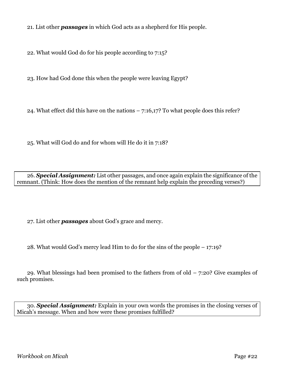21. List other *passages* in which God acts as a shepherd for His people.

22. What would God do for his people according to 7:15?

23. How had God done this when the people were leaving Egypt?

24. What effect did this have on the nations – 7:16,17? To what people does this refer?

25. What will God do and for whom will He do it in 7:18?

26. *Special Assignment:* List other passages, and once again explain the significance of the remnant. (Think: How does the mention of the remnant help explain the preceding verses?)

27. List other *passages* about God's grace and mercy.

28. What would God's mercy lead Him to do for the sins of the people – 17:19?

29. What blessings had been promised to the fathers from of old – 7:20? Give examples of such promises.

30. *Special Assignment:* Explain in your own words the promises in the closing verses of Micah's message. When and how were these promises fulfilled?